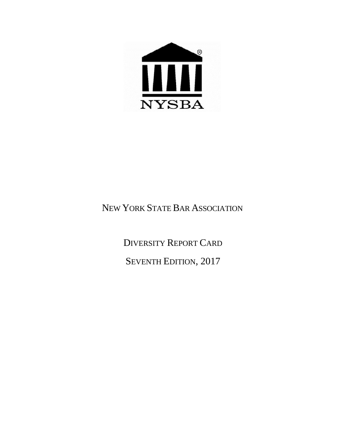

# NEW YORK STATE BAR ASSOCIATION

DIVERSITY REPORT CARD SEVENTH EDITION, 2017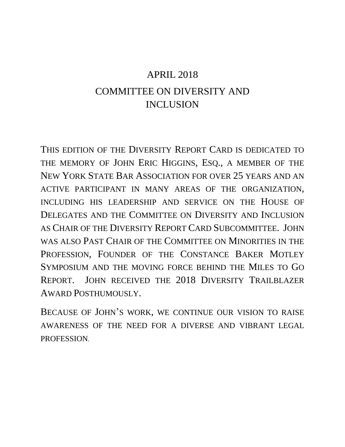# APRIL 2018 COMMITTEE ON DIVERSITY AND INCLUSION

THIS EDITION OF THE DIVERSITY REPORT CARD IS DEDICATED TO THE MEMORY OF JOHN ERIC HIGGINS, ESQ., A MEMBER OF THE NEW YORK STATE BAR ASSOCIATION FOR OVER 25 YEARS AND AN ACTIVE PARTICIPANT IN MANY AREAS OF THE ORGANIZATION, INCLUDING HIS LEADERSHIP AND SERVICE ON THE HOUSE OF DELEGATES AND THE COMMITTEE ON DIVERSITY AND INCLUSION AS CHAIR OF THE DIVERSITY REPORT CARD SUBCOMMITTEE. JOHN WAS ALSO PAST CHAIR OF THE COMMITTEE ON MINORITIES IN THE PROFESSION, FOUNDER OF THE CONSTANCE BAKER MOTLEY SYMPOSIUM AND THE MOVING FORCE BEHIND THE MILES TO GO REPORT. JOHN RECEIVED THE 2018 DIVERSITY TRAILBLAZER AWARD POSTHUMOUSLY.

BECAUSE OF JOHN'S WORK, WE CONTINUE OUR VISION TO RAISE AWARENESS OF THE NEED FOR A DIVERSE AND VIBRANT LEGAL PROFESSION.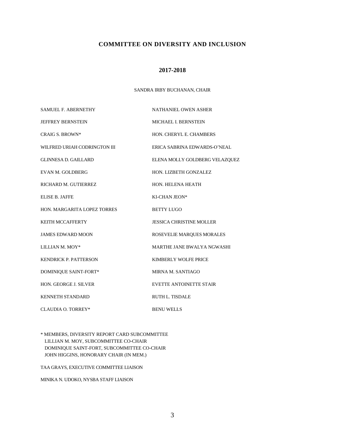## **COMMITTEE ON DIVERSITY AND INCLUSION**

#### **2017-2018**

#### SANDRA IRBY BUCHANAN, CHAIR

| <b>SAMUEL F. ABERNETHY</b>   | <b>NATHANIEL OWEN ASHER</b>     |
|------------------------------|---------------------------------|
| <b>JEFFREY BERNSTEIN</b>     | MICHAEL I. BERNSTEIN            |
| <b>CRAIG S. BROWN*</b>       | HON. CHERYL E. CHAMBERS         |
| WILFRED URIAH CODRINGTON III | ERICA SABRINA EDWARDS-O'NEAL    |
| <b>GLINNESA D. GAILLARD</b>  | ELENA MOLLY GOLDBERG VELAZQUEZ  |
| EVAN M. GOLDBERG             | HON. LIZBETH GONZALEZ           |
| RICHARD M. GUTIERREZ         | HON. HELENA HEATH               |
| <b>ELISE B. JAFFE</b>        | KI-CHAN JEON*                   |
| HON. MARGARITA LOPEZ TORRES  | <b>BETTY LUGO</b>               |
| <b>KEITH MCCAFFERTY</b>      | <b>JESSICA CHRISTINE MOLLER</b> |
| <b>JAMES EDWARD MOON</b>     | ROSEVELIE MARQUES MORALES       |
| LILLIAN M. MOY*              | MARTHE JANE BWALYA NGWASHI      |
| <b>KENDRICK P. PATTERSON</b> | KIMBERLY WOLFE PRICE            |
| <b>DOMINIQUE SAINT-FORT*</b> | MIRNA M. SANTIAGO               |
| <b>HON. GEORGE J. SILVER</b> | <b>EVETTE ANTOINETTE STAIR</b>  |
| <b>KENNETH STANDARD</b>      | <b>RUTH L. TISDALE</b>          |
| CLAUDIA O. TORREY*           | <b>BENU WELLS</b>               |

\* MEMBERS, DIVERSITY REPORT CARD SUBCOMMITTEE LILLIAN M. MOY, SUBCOMMITTEE CO-CHAIR DOMINIQUE SAINT-FORT, SUBCOMMITTEE CO-CHAIR JOHN HIGGINS, HONORARY CHAIR (IN MEM.)

TAA GRAYS, EXECUTIVE COMMITTEE LIAISON

MINIKA N. UDOKO, NYSBA STAFF LIAISON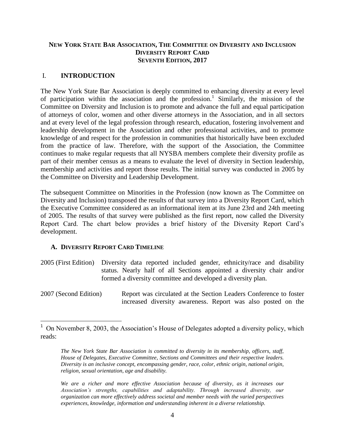# **NEW YORK STATE BAR ASSOCIATION, THE COMMITTEE ON DIVERSITY AND INCLUSION DIVERSITY REPORT CARD SEVENTH EDITION, 2017**

# I. **INTRODUCTION**

The New York State Bar Association is deeply committed to enhancing diversity at every level of participation within the association and the profession.<sup>1</sup> Similarly, the mission of the Committee on Diversity and Inclusion is to promote and advance the full and equal participation of attorneys of color, women and other diverse attorneys in the Association, and in all sectors and at every level of the legal profession through research, education, fostering involvement and leadership development in the Association and other professional activities, and to promote knowledge of and respect for the profession in communities that historically have been excluded from the practice of law. Therefore, with the support of the Association, the Committee continues to make regular requests that all NYSBA members complete their diversity profile as part of their member census as a means to evaluate the level of diversity in Section leadership, membership and activities and report those results. The initial survey was conducted in 2005 by the Committee on Diversity and Leadership Development.

The subsequent Committee on Minorities in the Profession (now known as The Committee on Diversity and Inclusion) transposed the results of that survey into a Diversity Report Card, which the Executive Committee considered as an informational item at its June 23rd and 24th meeting of 2005. The results of that survey were published as the first report, now called the Diversity Report Card. The chart below provides a brief history of the Diversity Report Card's development.

## **A. DIVERSITY REPORT CARD TIMELINE**

 $\overline{\phantom{a}}$ 

- 2005 (First Edition) Diversity data reported included gender, ethnicity/race and disability status. Nearly half of all Sections appointed a diversity chair and/or formed a diversity committee and developed a diversity plan.
- 2007 (Second Edition) Report was circulated at the Section Leaders Conference to foster increased diversity awareness. Report was also posted on the

<sup>&</sup>lt;sup>1</sup> On November 8, 2003, the Association's House of Delegates adopted a diversity policy, which reads:

*The New York State Bar Association is committed to diversity in its membership, officers, staff, House of Delegates, Executive Committee, Sections and Committees and their respective leaders. Diversity is an inclusive concept, encompassing gender, race, color, ethnic origin, national origin, religion, sexual orientation, age and disability.* 

*We are a richer and more effective Association because of diversity, as it increases our Association's strengths, capabilities and adaptability. Through increased diversity, our organization can more effectively address societal and member needs with the varied perspectives experiences, knowledge, information and understanding inherent in a diverse relationship.*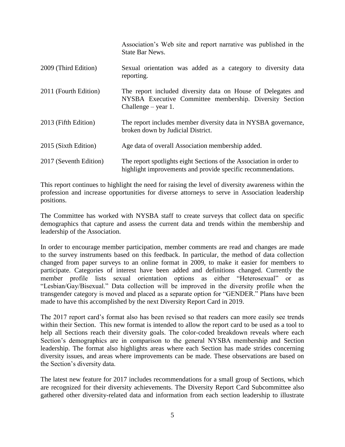|                        | Association's Web site and report narrative was published in the<br>State Bar News.                                                              |
|------------------------|--------------------------------------------------------------------------------------------------------------------------------------------------|
| 2009 (Third Edition)   | Sexual orientation was added as a category to diversity data<br>reporting.                                                                       |
| 2011 (Fourth Edition)  | The report included diversity data on House of Delegates and<br>NYSBA Executive Committee membership. Diversity Section<br>Challenge $-$ year 1. |
| 2013 (Fifth Edition)   | The report includes member diversity data in NYSBA governance,<br>broken down by Judicial District.                                              |
| 2015 (Sixth Edition)   | Age data of overall Association membership added.                                                                                                |
| 2017 (Seventh Edition) | The report spotlights eight Sections of the Association in order to<br>highlight improvements and provide specific recommendations.              |

This report continues to highlight the need for raising the level of diversity awareness within the profession and increase opportunities for diverse attorneys to serve in Association leadership positions.

The Committee has worked with NYSBA staff to create surveys that collect data on specific demographics that capture and assess the current data and trends within the membership and leadership of the Association.

In order to encourage member participation, member comments are read and changes are made to the survey instruments based on this feedback. In particular, the method of data collection changed from paper surveys to an online format in 2009, to make it easier for members to participate. Categories of interest have been added and definitions changed. Currently the member profile lists sexual orientation options as either "Heterosexual" or as "Lesbian/Gay/Bisexual." Data collection will be improved in the diversity profile when the transgender category is moved and placed as a separate option for "GENDER." Plans have been made to have this accomplished by the next Diversity Report Card in 2019.

The 2017 report card's format also has been revised so that readers can more easily see trends within their Section. This new format is intended to allow the report card to be used as a tool to help all Sections reach their diversity goals. The color-coded breakdown reveals where each Section's demographics are in comparison to the general NYSBA membership and Section leadership. The format also highlights areas where each Section has made strides concerning diversity issues, and areas where improvements can be made. These observations are based on the Section's diversity data.

The latest new feature for 2017 includes recommendations for a small group of Sections, which are recognized for their diversity achievements. The Diversity Report Card Subcommittee also gathered other diversity-related data and information from each section leadership to illustrate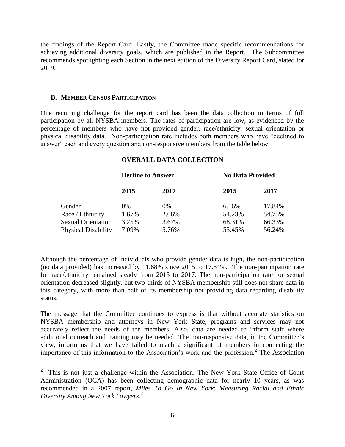the findings of the Report Card. Lastly, the Committee made specific recommendations for achieving additional diversity goals, which are published in the Report. The Subcommittee recommends spotlighting each Section in the next edition of the Diversity Report Card, slated for 2019.

#### **B. MEMBER CENSUS PARTICIPATION**

 $\overline{a}$ 

One recurring challenge for the report card has been the data collection in terms of full participation by all NYSBA members. The rates of participation are low, as evidenced by the percentage of members who have not provided gender, race/ethnicity, sexual orientation or physical disability data. Non-participation rate includes both members who have "declined to answer" each and every question and non-responsive members from the table below.

## **OVERALL DATA COLLECTION**

|                            | <b>Decline to Answer</b> |       | <b>No Data Provided</b> |        |
|----------------------------|--------------------------|-------|-------------------------|--------|
|                            | 2015                     | 2017  | 2015                    | 2017   |
| Gender                     | $0\%$                    | $0\%$ | 6.16%                   | 17.84% |
| Race / Ethnicity           | 1.67%                    | 2.06% | 54.23%                  | 54.75% |
| <b>Sexual Orientation</b>  | 3.25%                    | 3.67% | 68.31%                  | 66.33% |
| <b>Physical Disability</b> | 7.09%                    | 5.76% | 55.45%                  | 56.24% |

Although the percentage of individuals who provide gender data is high, the non-participation (no data provided) has increased by 11.68% since 2015 to 17.84%. The non-participation rate for race/ethnicity remained steady from 2015 to 2017. The non-participation rate for sexual orientation decreased slightly, but two-thirds of NYSBA membership still does not share data in this category, with more than half of its membership not providing data regarding disability status.

The message that the Committee continues to express is that without accurate statistics on NYSBA membership and attorneys in New York State, programs and services may not accurately reflect the needs of the members. Also, data are needed to inform staff where additional outreach and training may be needed. The non-responsive data, in the Committee's view, inform us that we have failed to reach a significant of members in connecting the importance of this information to the Association's work and the profession.<sup>2</sup> The Association

<sup>&</sup>lt;sup>2</sup> This is not just a challenge within the Association. The New York State Office of Court Administration (OCA) has been collecting demographic data for nearly 10 years, as was recommended in a 2007 report, *Miles To Go In New York*: *Measuring Racial and Ethnic Diversity Among New York Lawyers*. 2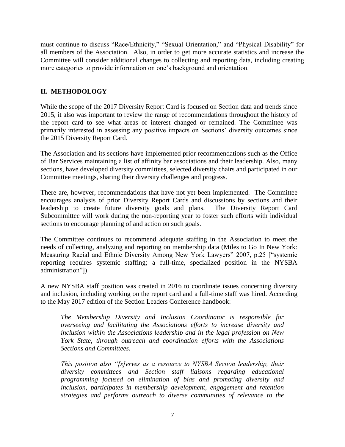must continue to discuss "Race/Ethnicity," "Sexual Orientation," and "Physical Disability" for all members of the Association. Also, in order to get more accurate statistics and increase the Committee will consider additional changes to collecting and reporting data, including creating more categories to provide information on one's background and orientation.

# **II. METHODOLOGY**

While the scope of the 2017 Diversity Report Card is focused on Section data and trends since 2015, it also was important to review the range of recommendations throughout the history of the report card to see what areas of interest changed or remained. The Committee was primarily interested in assessing any positive impacts on Sections' diversity outcomes since the 2015 Diversity Report Card.

The Association and its sections have implemented prior recommendations such as the Office of Bar Services maintaining a list of affinity bar associations and their leadership. Also, many sections, have developed diversity committees, selected diversity chairs and participated in our Committee meetings, sharing their diversity challenges and progress.

There are, however, recommendations that have not yet been implemented. The Committee encourages analysis of prior Diversity Report Cards and discussions by sections and their leadership to create future diversity goals and plans. The Diversity Report Card Subcommittee will work during the non-reporting year to foster such efforts with individual sections to encourage planning of and action on such goals.

The Committee continues to recommend adequate staffing in the Association to meet the needs of collecting, analyzing and reporting on membership data (Miles to Go In New York: Measuring Racial and Ethnic Diversity Among New York Lawyers" 2007, p.25 ["systemic reporting requires systemic staffing; a full-time, specialized position in the NYSBA administration"]).

A new NYSBA staff position was created in 2016 to coordinate issues concerning diversity and inclusion, including working on the report card and a full-time staff was hired. According to the May 2017 edition of the Section Leaders Conference handbook:

*The Membership Diversity and Inclusion Coordinator is responsible for overseeing and facilitating the Associations efforts to increase diversity and inclusion within the Associations leadership and in the legal profession on New York State, through outreach and coordination efforts with the Associations Sections and Committees.* 

*This position also "[s]erves as a resource to NYSBA Section leadership, their diversity committees and Section staff liaisons regarding educational programming focused on elimination of bias and promoting diversity and inclusion, participates in membership development, engagement and retention strategies and performs outreach to diverse communities of relevance to the*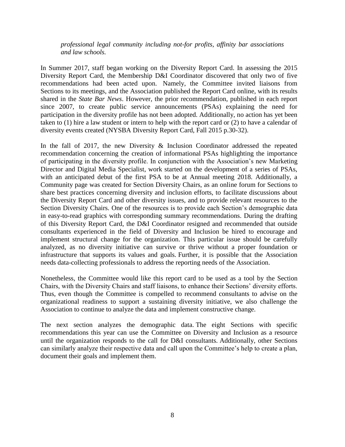*professional legal community including not-for profits, affinity bar associations and law schools.*

In Summer 2017, staff began working on the Diversity Report Card. In assessing the 2015 Diversity Report Card, the Membership D&I Coordinator discovered that only two of five recommendations had been acted upon. Namely, the Committee invited liaisons from Sections to its meetings, and the Association published the Report Card online, with its results shared in the *State Bar News*. However, the prior recommendation, published in each report since 2007, to create public service announcements (PSAs) explaining the need for participation in the diversity profile has not been adopted. Additionally, no action has yet been taken to (1) hire a law student or intern to help with the report card or (2) to have a calendar of diversity events created (NYSBA Diversity Report Card, Fall 2015 p.30-32).

In the fall of 2017, the new Diversity & Inclusion Coordinator addressed the repeated recommendation concerning the creation of informational PSAs highlighting the importance of participating in the diversity profile. In conjunction with the Association's new Marketing Director and Digital Media Specialist, work started on the development of a series of PSAs, with an anticipated debut of the first PSA to be at Annual meeting 2018. Additionally, a Community page was created for Section Diversity Chairs, as an online forum for Sections to share best practices concerning diversity and inclusion efforts, to facilitate discussions about the Diversity Report Card and other diversity issues, and to provide relevant resources to the Section Diversity Chairs. One of the resources is to provide each Section's demographic data in easy-to-read graphics with corresponding summary recommendations. During the drafting of this Diversity Report Card, the D&I Coordinator resigned and recommended that outside consultants experienced in the field of Diversity and Inclusion be hired to encourage and implement structural change for the organization. This particular issue should be carefully analyzed, as no diversity initiative can survive or thrive without a proper foundation or infrastructure that supports its values and goals. Further, it is possible that the Association needs data-collecting professionals to address the reporting needs of the Association.

Nonetheless, the Committee would like this report card to be used as a tool by the Section Chairs, with the Diversity Chairs and staff liaisons, to enhance their Sections' diversity efforts. Thus, even though the Committee is compelled to recommend consultants to advise on the organizational readiness to support a sustaining diversity initiative, we also challenge the Association to continue to analyze the data and implement constructive change.

The next section analyzes the demographic data. The eight Sections with specific recommendations this year can use the Committee on Diversity and Inclusion as a resource until the organization responds to the call for D&I consultants. Additionally, other Sections can similarly analyze their respective data and call upon the Committee's help to create a plan, document their goals and implement them.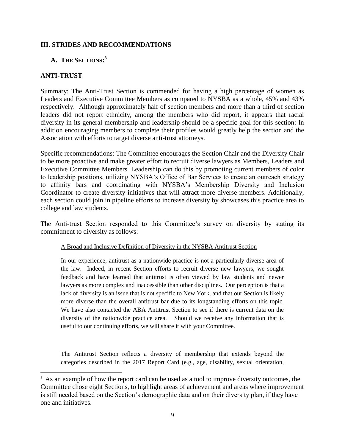# **III. STRIDES AND RECOMMENDATIONS**

# **A. THE SECTIONS: 3**

# **ANTI-TRUST**

 $\overline{a}$ 

Summary: The Anti-Trust Section is commended for having a high percentage of women as Leaders and Executive Committee Members as compared to NYSBA as a whole, 45% and 43% respectively. Although approximately half of section members and more than a third of section leaders did not report ethnicity, among the members who did report, it appears that racial diversity in its general membership and leadership should be a specific goal for this section: In addition encouraging members to complete their profiles would greatly help the section and the Association with efforts to target diverse anti-trust attorneys.

Specific recommendations: The Committee encourages the Section Chair and the Diversity Chair to be more proactive and make greater effort to recruit diverse lawyers as Members, Leaders and Executive Committee Members. Leadership can do this by promoting current members of color to leadership positions, utilizing NYSBA's Office of Bar Services to create an outreach strategy to affinity bars and coordinating with NYSBA's Membership Diversity and Inclusion Coordinator to create diversity initiatives that will attract more diverse members. Additionally, each section could join in pipeline efforts to increase diversity by showcases this practice area to college and law students.

The Anti-trust Section responded to this Committee's survey on diversity by stating its commitment to diversity as follows:

## A Broad and Inclusive Definition of Diversity in the NYSBA Antitrust Section

In our experience, antitrust as a nationwide practice is not a particularly diverse area of the law. Indeed, in recent Section efforts to recruit diverse new lawyers, we sought feedback and have learned that antitrust is often viewed by law students and newer lawyers as more complex and inaccessible than other disciplines. Our perception is that a lack of diversity is an issue that is not specific to New York, and that our Section is likely more diverse than the overall antitrust bar due to its longstanding efforts on this topic. We have also contacted the ABA Antitrust Section to see if there is current data on the diversity of the nationwide practice area. Should we receive any information that is useful to our continuing efforts, we will share it with your Committee.

The Antitrust Section reflects a diversity of membership that extends beyond the categories described in the 2017 Report Card (e.g., age, disability, sexual orientation,

<sup>&</sup>lt;sup>3</sup> As an example of how the report card can be used as a tool to improve diversity outcomes, the Committee chose eight Sections, to highlight areas of achievement and areas where improvement is still needed based on the Section's demographic data and on their diversity plan, if they have one and initiatives.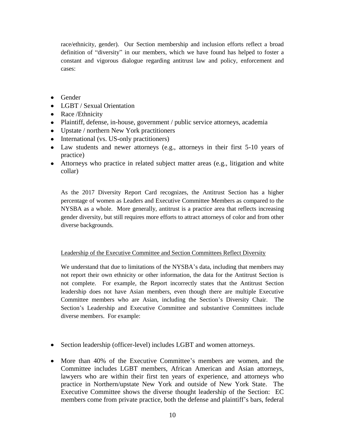race/ethnicity, gender). Our Section membership and inclusion efforts reflect a broad definition of "diversity" in our members, which we have found has helped to foster a constant and vigorous dialogue regarding antitrust law and policy, enforcement and cases:

- Gender
- LGBT / Sexual Orientation
- Race / Ethnicity
- Plaintiff, defense, in-house, government / public service attorneys, academia
- Upstate / northern New York practitioners
- International (vs. US-only practitioners)
- Law students and newer attorneys (e.g., attorneys in their first 5-10 years of practice)
- Attorneys who practice in related subject matter areas (e.g., litigation and white collar)

As the 2017 Diversity Report Card recognizes, the Antitrust Section has a higher percentage of women as Leaders and Executive Committee Members as compared to the NYSBA as a whole. More generally, antitrust is a practice area that reflects increasing gender diversity, but still requires more efforts to attract attorneys of color and from other diverse backgrounds.

## Leadership of the Executive Committee and Section Committees Reflect Diversity

We understand that due to limitations of the NYSBA's data, including that members may not report their own ethnicity or other information, the data for the Antitrust Section is not complete. For example, the Report incorrectly states that the Antitrust Section leadership does not have Asian members, even though there are multiple Executive Committee members who are Asian, including the Section's Diversity Chair. The Section's Leadership and Executive Committee and substantive Committees include diverse members. For example:

- Section leadership (officer-level) includes LGBT and women attorneys.
- More than 40% of the Executive Committee's members are women, and the Committee includes LGBT members, African American and Asian attorneys, lawyers who are within their first ten years of experience, and attorneys who practice in Northern/upstate New York and outside of New York State. The Executive Committee shows the diverse thought leadership of the Section: EC members come from private practice, both the defense and plaintiff's bars, federal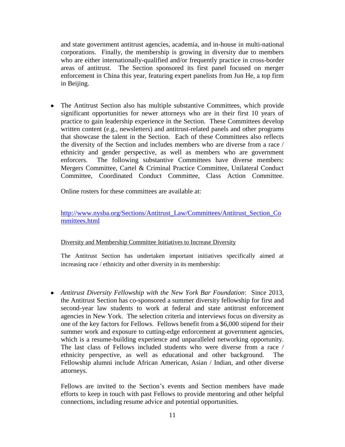and state government antitrust agencies, academia, and in-house in multi-national corporations. Finally, the membership is growing in diversity due to members who are either internationally-qualified and/or frequently practice in cross-border areas of antitrust. The Section sponsored its first panel focused on merger enforcement in China this year, featuring expert panelists from Jun He, a top firm in Beijing.

The Antitrust Section also has multiple substantive Committees, which provide significant opportunities for newer attorneys who are in their first 10 years of practice to gain leadership experience in the Section. These Committees develop written content (e.g., newsletters) and antitrust-related panels and other programs that showcase the talent in the Section. Each of these Committees also reflects the diversity of the Section and includes members who are diverse from a race / ethnicity and gender perspective, as well as members who are government enforcers. The following substantive Committees have diverse members: Mergers Committee, Cartel & Criminal Practice Committee, Unilateral Conduct Committee, Coordinated Conduct Committee, Class Action Committee.

Online rosters for these committees are available at:

[http://www.nysba.org/Sections/Antitrust\\_Law/Committees/Antitrust\\_Section\\_Co](http://www.nysba.org/Sections/Antitrust_Law/Committees/Antitrust_Section_Committees.html) [mmittees.html](http://www.nysba.org/Sections/Antitrust_Law/Committees/Antitrust_Section_Committees.html)

## Diversity and Membership Committee Initiatives to Increase Diversity

The Antitrust Section has undertaken important initiatives specifically aimed at increasing race / ethnicity and other diversity in its membership:

*Antitrust Diversity Fellowship with the New York Bar Foundation*: Since 2013, the Antitrust Section has co-sponsored a summer diversity fellowship for first and second-year law students to work at federal and state antitrust enforcement agencies in New York. The selection criteria and interviews focus on diversity as one of the key factors for Fellows. Fellows benefit from a \$6,000 stipend for their summer work and exposure to cutting-edge enforcement at government agencies, which is a resume-building experience and unparalleled networking opportunity. The last class of Fellows included students who were diverse from a race / ethnicity perspective, as well as educational and other background. The Fellowship alumni include African American, Asian / Indian, and other diverse attorneys.

Fellows are invited to the Section's events and Section members have made efforts to keep in touch with past Fellows to provide mentoring and other helpful connections, including resume advice and potential opportunities.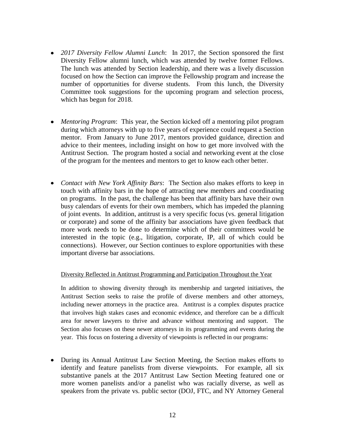- *2017 Diversity Fellow Alumni Lunch*: In 2017, the Section sponsored the first Diversity Fellow alumni lunch, which was attended by twelve former Fellows. The lunch was attended by Section leadership, and there was a lively discussion focused on how the Section can improve the Fellowship program and increase the number of opportunities for diverse students. From this lunch, the Diversity Committee took suggestions for the upcoming program and selection process, which has begun for 2018.
- *Mentoring Program*: This year, the Section kicked off a mentoring pilot program during which attorneys with up to five years of experience could request a Section mentor. From January to June 2017, mentors provided guidance, direction and advice to their mentees, including insight on how to get more involved with the Antitrust Section. The program hosted a social and networking event at the close of the program for the mentees and mentors to get to know each other better.
- *Contact with New York Affinity Bars*: The Section also makes efforts to keep in touch with affinity bars in the hope of attracting new members and coordinating on programs. In the past, the challenge has been that affinity bars have their own busy calendars of events for their own members, which has impeded the planning of joint events. In addition, antitrust is a very specific focus (vs. general litigation or corporate) and some of the affinity bar associations have given feedback that more work needs to be done to determine which of their committees would be interested in the topic (e.g., litigation, corporate, IP, all of which could be connections). However, our Section continues to explore opportunities with these important diverse bar associations.

#### Diversity Reflected in Antitrust Programming and Participation Throughout the Year

In addition to showing diversity through its membership and targeted initiatives, the Antitrust Section seeks to raise the profile of diverse members and other attorneys, including newer attorneys in the practice area. Antitrust is a complex disputes practice that involves high stakes cases and economic evidence, and therefore can be a difficult area for newer lawyers to thrive and advance without mentoring and support. The Section also focuses on these newer attorneys in its programming and events during the year. This focus on fostering a diversity of viewpoints is reflected in our programs:

During its Annual Antitrust Law Section Meeting, the Section makes efforts to identify and feature panelists from diverse viewpoints. For example, all six substantive panels at the 2017 Antitrust Law Section Meeting featured one or more women panelists and/or a panelist who was racially diverse, as well as speakers from the private vs. public sector (DOJ, FTC, and NY Attorney General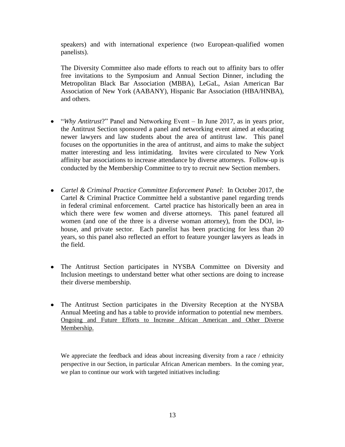speakers) and with international experience (two European-qualified women panelists).

The Diversity Committee also made efforts to reach out to affinity bars to offer free invitations to the Symposium and Annual Section Dinner, including the Metropolitan Black Bar Association (MBBA), LeGaL, Asian American Bar Association of New York (AABANY), Hispanic Bar Association (HBA/HNBA), and others.

- "*Why Antitrust*?" Panel and Networking Event In June 2017, as in years prior, the Antitrust Section sponsored a panel and networking event aimed at educating newer lawyers and law students about the area of antitrust law. This panel focuses on the opportunities in the area of antitrust, and aims to make the subject matter interesting and less intimidating. Invites were circulated to New York affinity bar associations to increase attendance by diverse attorneys. Follow-up is conducted by the Membership Committee to try to recruit new Section members.
- *Cartel & Criminal Practice Committee Enforcement Panel*: In October 2017, the Cartel & Criminal Practice Committee held a substantive panel regarding trends in federal criminal enforcement. Cartel practice has historically been an area in which there were few women and diverse attorneys. This panel featured all women (and one of the three is a diverse woman attorney), from the DOJ, inhouse, and private sector. Each panelist has been practicing for less than 20 years, so this panel also reflected an effort to feature younger lawyers as leads in the field.
- The Antitrust Section participates in NYSBA Committee on Diversity and Inclusion meetings to understand better what other sections are doing to increase their diverse membership.
- The Antitrust Section participates in the Diversity Reception at the NYSBA Annual Meeting and has a table to provide information to potential new members. Ongoing and Future Efforts to Increase African American and Other Diverse Membership.

We appreciate the feedback and ideas about increasing diversity from a race / ethnicity perspective in our Section, in particular African American members. In the coming year, we plan to continue our work with targeted initiatives including: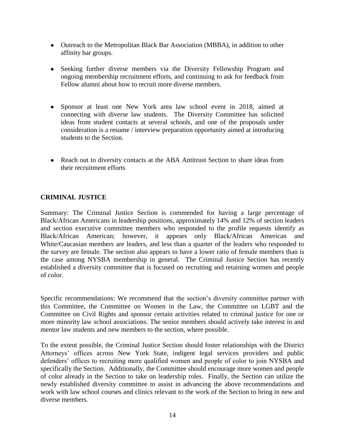- Outreach to the Metropolitan Black Bar Association (MBBA), in addition to other affinity bar groups.
- Seeking further diverse members via the Diversity Fellowship Program and ongoing membership recruitment efforts, and continuing to ask for feedback from Fellow alumni about how to recruit more diverse members.
- Sponsor at least one New York area law school event in 2018, aimed at connecting with diverse law students. The Diversity Committee has solicited ideas from student contacts at several schools, and one of the proposals under consideration is a resume / interview preparation opportunity aimed at introducing students to the Section.
- Reach out to diversity contacts at the ABA Antitrust Section to share ideas from their recruitment efforts

# **CRIMINAL JUSTICE**

Summary: The Criminal Justice Section is commended for having a large percentage of Black/African Americans in leadership positions, approximately 14% and 12% of section leaders and section executive committee members who responded to the profile requests identify as Black/African American; however, it appears only Black/African American and White/Caucasian members are leaders, and less than a quarter of the leaders who responded to the survey are female. The section also appears to have a lower ratio of female members than is the case among NYSBA membership in general. The Criminal Justice Section has recently established a diversity committee that is focused on recruiting and retaining women and people of color.

Specific recommendations: We recommend that the section's diversity committee partner with this Committee, the Committee on Women in the Law, the Committee on LGBT and the Committee on Civil Rights and sponsor certain activities related to criminal justice for one or more minority law school associations. The senior members should actively take interest in and mentor law students and new members to the section, where possible.

To the extent possible, the Criminal Justice Section should foster relationships with the District Attorneys' offices across New York State, indigent legal services providers and public defenders' offices to recruiting more qualified women and people of color to join NYSBA and specifically the Section. Additionally, the Committee should encourage more women and people of color already in the Section to take on leadership roles. Finally, the Section can utilize the newly established diversity committee to assist in advancing the above recommendations and work with law school courses and clinics relevant to the work of the Section to bring in new and diverse members.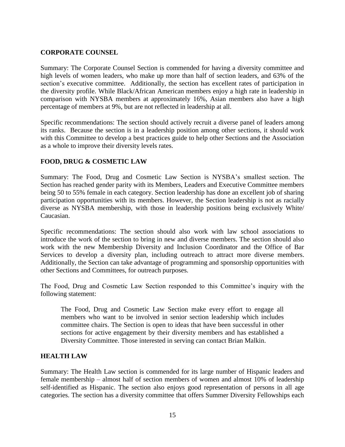# **CORPORATE COUNSEL**

Summary: The Corporate Counsel Section is commended for having a diversity committee and high levels of women leaders, who make up more than half of section leaders, and 63% of the section's executive committee. Additionally, the section has excellent rates of participation in the diversity profile. While Black/African American members enjoy a high rate in leadership in comparison with NYSBA members at approximately 16%, Asian members also have a high percentage of members at 9%, but are not reflected in leadership at all.

Specific recommendations: The section should actively recruit a diverse panel of leaders among its ranks. Because the section is in a leadership position among other sections, it should work with this Committee to develop a best practices guide to help other Sections and the Association as a whole to improve their diversity levels rates.

# **FOOD, DRUG & COSMETIC LAW**

Summary: The Food, Drug and Cosmetic Law Section is NYSBA's smallest section. The Section has reached gender parity with its Members, Leaders and Executive Committee members being 50 to 55% female in each category. Section leadership has done an excellent job of sharing participation opportunities with its members. However, the Section leadership is not as racially diverse as NYSBA membership, with those in leadership positions being exclusively White/ Caucasian.

Specific recommendations: The section should also work with law school associations to introduce the work of the section to bring in new and diverse members. The section should also work with the new Membership Diversity and Inclusion Coordinator and the Office of Bar Services to develop a diversity plan, including outreach to attract more diverse members. Additionally, the Section can take advantage of programming and sponsorship opportunities with other Sections and Committees, for outreach purposes.

The Food, Drug and Cosmetic Law Section responded to this Committee's inquiry with the following statement:

The Food, Drug and Cosmetic Law Section make every effort to engage all members who want to be involved in senior section leadership which includes committee chairs. The Section is open to ideas that have been successful in other sections for active engagement by their diversity members and has established a Diversity Committee. Those interested in serving can contact Brian Malkin.

## **HEALTH LAW**

Summary: The Health Law section is commended for its large number of Hispanic leaders and female membership – almost half of section members of women and almost 10% of leadership self-identified as Hispanic. The section also enjoys good representation of persons in all age categories. The section has a diversity committee that offers Summer Diversity Fellowships each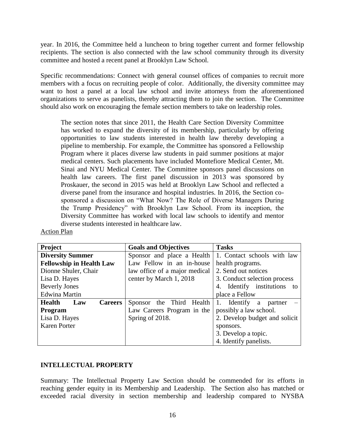year. In 2016, the Committee held a luncheon to bring together current and former fellowship recipients. The section is also connected with the law school community through its diversity committee and hosted a recent panel at Brooklyn Law School.

Specific recommendations: Connect with general counsel offices of companies to recruit more members with a focus on recruiting people of color. Additionally, the diversity committee may want to host a panel at a local law school and invite attorneys from the aforementioned organizations to serve as panelists, thereby attracting them to join the section. The Committee should also work on encouraging the female section members to take on leadership roles.

The section notes that since 2011, the Health Care Section Diversity Committee has worked to expand the diversity of its membership, particularly by offering opportunities to law students interested in health law thereby developing a pipeline to membership. For example, the Committee has sponsored a Fellowship Program where it places diverse law students in paid summer positions at major medical centers. Such placements have included Montefiore Medical Center, Mt. Sinai and NYU Medical Center. The Committee sponsors panel discussions on health law careers. The first panel discussion in 2013 was sponsored by Proskauer, the second in 2015 was held at Brooklyn Law School and reflected a diverse panel from the insurance and hospital industries. In 2016, the Section cosponsored a discussion on "What Now? The Role of Diverse Managers During the Trump Presidency" with Brooklyn Law School. From its inception, the Diversity Committee has worked with local law schools to identify and mentor diverse students interested in healthcare law.

| <b>Action Plan</b> |  |
|--------------------|--|
|                    |  |

| Project                                | <b>Goals and Objectives</b>   | <b>Tasks</b>                   |
|----------------------------------------|-------------------------------|--------------------------------|
| <b>Diversity Summer</b>                | Sponsor and place a Health    | 1. Contact schools with law    |
| <b>Fellowship in Health Law</b>        | Law Fellow in an in-house     | health programs.               |
| Dionne Shuler, Chair                   | law office of a major medical | 2. Send out notices            |
| Lisa D. Hayes                          | center by March 1, 2018       | 3. Conduct selection process   |
| <b>Beverly Jones</b>                   |                               | 4. Identify institutions<br>to |
| <b>Edwina Martin</b>                   |                               | place a Fellow                 |
| <b>Health</b><br><b>Careers</b><br>Law | Sponsor the Third<br>Health   | 1. Identify a partner          |
| <b>Program</b>                         | Law Careers Program in the    | possibly a law school.         |
| Lisa D. Hayes                          | Spring of 2018.               | 2. Develop budget and solicit  |
| <b>Karen Porter</b>                    |                               | sponsors.                      |
|                                        |                               | 3. Develop a topic.            |
|                                        |                               | 4. Identify panelists.         |

# **INTELLECTUAL PROPERTY**

Summary: The Intellectual Property Law Section should be commended for its efforts in reaching gender equity in its Membership and Leadership. The Section also has matched or exceeded racial diversity in section membership and leadership compared to NYSBA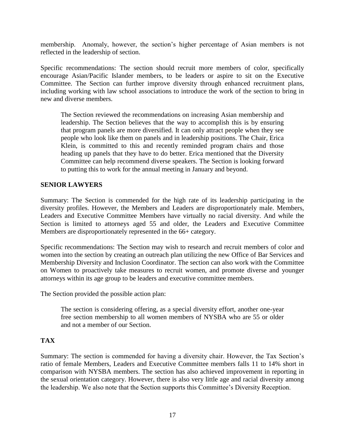membership. Anomaly, however, the section's higher percentage of Asian members is not reflected in the leadership of section.

Specific recommendations: The section should recruit more members of color, specifically encourage Asian/Pacific Islander members, to be leaders or aspire to sit on the Executive Committee. The Section can further improve diversity through enhanced recruitment plans, including working with law school associations to introduce the work of the section to bring in new and diverse members.

The Section reviewed the recommendations on increasing Asian membership and leadership. The Section believes that the way to accomplish this is by ensuring that program panels are more diversified. It can only attract people when they see people who look like them on panels and in leadership positions. The Chair, Erica Klein, is committed to this and recently reminded program chairs and those heading up panels that they have to do better. Erica mentioned that the Diversity Committee can help recommend diverse speakers. The Section is looking forward to putting this to work for the annual meeting in January and beyond.

# **SENIOR LAWYERS**

Summary: The Section is commended for the high rate of its leadership participating in the diversity profiles. However, the Members and Leaders are disproportionately male. Members, Leaders and Executive Committee Members have virtually no racial diversity. And while the Section is limited to attorneys aged 55 and older, the Leaders and Executive Committee Members are disproportionately represented in the 66+ category.

Specific recommendations: The Section may wish to research and recruit members of color and women into the section by creating an outreach plan utilizing the new Office of Bar Services and Membership Diversity and Inclusion Coordinator. The section can also work with the Committee on Women to proactively take measures to recruit women, and promote diverse and younger attorneys within its age group to be leaders and executive committee members.

The Section provided the possible action plan:

The section is considering offering, as a special diversity effort, another one-year free section membership to all women members of NYSBA who are 55 or older and not a member of our Section.

## **TAX**

Summary: The section is commended for having a diversity chair. However, the Tax Section's ratio of female Members, Leaders and Executive Committee members falls 11 to 14% short in comparison with NYSBA members. The section has also achieved improvement in reporting in the sexual orientation category. However, there is also very little age and racial diversity among the leadership. We also note that the Section supports this Committee's Diversity Reception.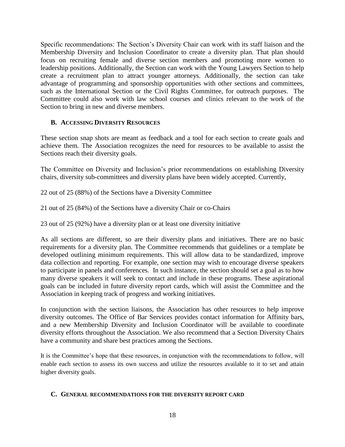Specific recommendations: The Section's Diversity Chair can work with its staff liaison and the Membership Diversity and Inclusion Coordinator to create a diversity plan. That plan should focus on recruiting female and diverse section members and promoting more women to leadership positions. Additionally, the Section can work with the Young Lawyers Section to help create a recruitment plan to attract younger attorneys. Additionally, the section can take advantage of programming and sponsorship opportunities with other sections and committees, such as the International Section or the Civil Rights Committee, for outreach purposes. The Committee could also work with law school courses and clinics relevant to the work of the Section to bring in new and diverse members.

# **B. ACCESSING DIVERSITY RESOURCES**

These section snap shots are meant as feedback and a tool for each section to create goals and achieve them. The Association recognizes the need for resources to be available to assist the Sections reach their diversity goals.

The Committee on Diversity and Inclusion's prior recommendations on establishing Diversity chairs, diversity sub-committees and diversity plans have been widely accepted. Currently,

22 out of 25 (88%) of the Sections have a Diversity Committee

21 out of 25 (84%) of the Sections have a diversity Chair or co-Chairs

23 out of 25 (92%) have a diversity plan or at least one diversity initiative

As all sections are different, so are their diversity plans and initiatives. There are no basic requirements for a diversity plan. The Committee recommends that guidelines or a template be developed outlining minimum requirements. This will allow data to be standardized, improve data collection and reporting. For example, one section may wish to encourage diverse speakers to participate in panels and conferences. In such instance, the section should set a goal as to how many diverse speakers it will seek to contact and include in these programs. These aspirational goals can be included in future diversity report cards, which will assist the Committee and the Association in keeping track of progress and working initiatives.

In conjunction with the section liaisons, the Association has other resources to help improve diversity outcomes. The Office of Bar Services provides contact information for Affinity bars, and a new Membership Diversity and Inclusion Coordinator will be available to coordinate diversity efforts throughout the Association. We also recommend that a Section Diversity Chairs have a community and share best practices among the Sections.

It is the Committee's hope that these resources, in conjunction with the recommendations to follow, will enable each section to assess its own success and utilize the resources available to it to set and attain higher diversity goals.

#### **C. GENERAL RECOMMENDATIONS FOR THE DIVERSITY REPORT CARD**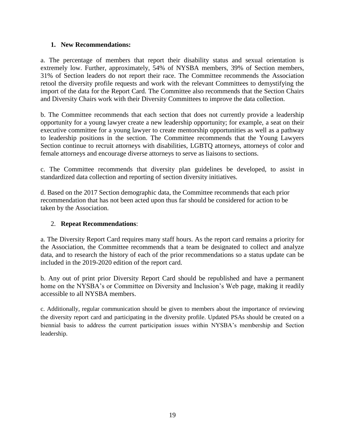# **1. New Recommendations:**

a. The percentage of members that report their disability status and sexual orientation is extremely low. Further, approximately, 54% of NYSBA members, 39% of Section members, 31% of Section leaders do not report their race. The Committee recommends the Association retool the diversity profile requests and work with the relevant Committees to demystifying the import of the data for the Report Card. The Committee also recommends that the Section Chairs and Diversity Chairs work with their Diversity Committees to improve the data collection.

b. The Committee recommends that each section that does not currently provide a leadership opportunity for a young lawyer create a new leadership opportunity; for example, a seat on their executive committee for a young lawyer to create mentorship opportunities as well as a pathway to leadership positions in the section. The Committee recommends that the Young Lawyers Section continue to recruit attorneys with disabilities, LGBTQ attorneys, attorneys of color and female attorneys and encourage diverse attorneys to serve as liaisons to sections.

c. The Committee recommends that diversity plan guidelines be developed, to assist in standardized data collection and reporting of section diversity initiatives.

d. Based on the 2017 Section demographic data, the Committee recommends that each prior recommendation that has not been acted upon thus far should be considered for action to be taken by the Association.

# 2. **Repeat Recommendations**:

a. The Diversity Report Card requires many staff hours. As the report card remains a priority for the Association, the Committee recommends that a team be designated to collect and analyze data, and to research the history of each of the prior recommendations so a status update can be included in the 2019-2020 edition of the report card.

b. Any out of print prior Diversity Report Card should be republished and have a permanent home on the NYSBA's or Committee on Diversity and Inclusion's Web page, making it readily accessible to all NYSBA members.

c. Additionally, regular communication should be given to members about the importance of reviewing the diversity report card and participating in the diversity profile. Updated PSAs should be created on a biennial basis to address the current participation issues within NYSBA's membership and Section leadership.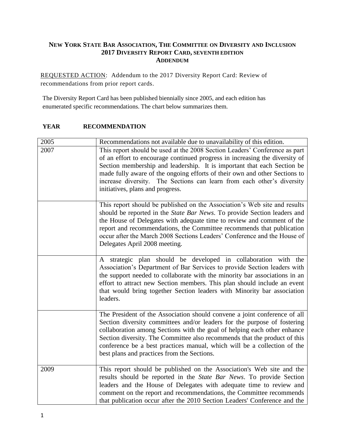# **NEW YORK STATE BAR ASSOCIATION, THE COMMITTEE ON DIVERSITY AND INCLUSION 2017 DIVERSITY REPORT CARD, SEVENTH EDITION ADDENDUM**

REQUESTED ACTION: Addendum to the 2017 Diversity Report Card: Review of recommendations from prior report cards.

The Diversity Report Card has been published biennially since 2005, and each edition has enumerated specific recommendations. The chart below summarizes them.

## **YEAR RECOMMENDATION**

| 2005 | Recommendations not available due to unavailability of this edition.                                                                                                                                                                                                                                                                                                                                                                      |
|------|-------------------------------------------------------------------------------------------------------------------------------------------------------------------------------------------------------------------------------------------------------------------------------------------------------------------------------------------------------------------------------------------------------------------------------------------|
| 2007 | This report should be used at the 2008 Section Leaders' Conference as part<br>of an effort to encourage continued progress in increasing the diversity of<br>Section membership and leadership. It is important that each Section be<br>made fully aware of the ongoing efforts of their own and other Sections to<br>increase diversity. The Sections can learn from each other's diversity<br>initiatives, plans and progress.          |
|      | This report should be published on the Association's Web site and results<br>should be reported in the State Bar News. To provide Section leaders and<br>the House of Delegates with adequate time to review and comment of the<br>report and recommendations, the Committee recommends that publication<br>occur after the March 2008 Sections Leaders' Conference and the House of<br>Delegates April 2008 meeting.                     |
|      | A strategic plan should be developed in collaboration with the<br>Association's Department of Bar Services to provide Section leaders with<br>the support needed to collaborate with the minority bar associations in an<br>effort to attract new Section members. This plan should include an event<br>that would bring together Section leaders with Minority bar association<br>leaders.                                               |
|      | The President of the Association should convene a joint conference of all<br>Section diversity committees and/or leaders for the purpose of fostering<br>collaboration among Sections with the goal of helping each other enhance<br>Section diversity. The Committee also recommends that the product of this<br>conference be a best practices manual, which will be a collection of the<br>best plans and practices from the Sections. |
| 2009 | This report should be published on the Association's Web site and the<br>results should be reported in the State Bar News. To provide Section<br>leaders and the House of Delegates with adequate time to review and<br>comment on the report and recommendations, the Committee recommends<br>that publication occur after the 2010 Section Leaders' Conference and the                                                                  |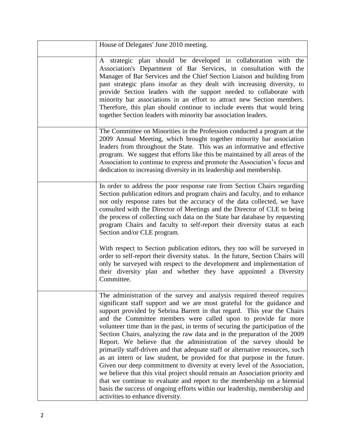| House of Delegates' June 2010 meeting.                                                                                                                                                                                                                                                                                                                                                                                                                                                                                                                                                                                                                                                                                                                                                                                                                                                                                                                                                                                                                       |
|--------------------------------------------------------------------------------------------------------------------------------------------------------------------------------------------------------------------------------------------------------------------------------------------------------------------------------------------------------------------------------------------------------------------------------------------------------------------------------------------------------------------------------------------------------------------------------------------------------------------------------------------------------------------------------------------------------------------------------------------------------------------------------------------------------------------------------------------------------------------------------------------------------------------------------------------------------------------------------------------------------------------------------------------------------------|
| A strategic plan should be developed in collaboration with the<br>Association's Department of Bar Services, in consultation with the<br>Manager of Bar Services and the Chief Section Liaison and building from<br>past strategic plans insofar as they dealt with increasing diversity, to<br>provide Section leaders with the support needed to collaborate with<br>minority bar associations in an effort to attract new Section members.<br>Therefore, this plan should continue to include events that would bring<br>together Section leaders with minority bar association leaders.                                                                                                                                                                                                                                                                                                                                                                                                                                                                   |
| The Committee on Minorities in the Profession conducted a program at the<br>2009 Annual Meeting, which brought together minority bar association<br>leaders from throughout the State. This was an informative and effective<br>program. We suggest that efforts like this be maintained by all areas of the<br>Association to continue to express and promote the Association's focus and<br>dedication to increasing diversity in its leadership and membership.                                                                                                                                                                                                                                                                                                                                                                                                                                                                                                                                                                                           |
| In order to address the poor response rate from Section Chairs regarding<br>Section publication editors and program chairs and faculty, and to enhance<br>not only response rates but the accuracy of the data collected, we have<br>consulted with the Director of Meetings and the Director of CLE to being<br>the process of collecting such data on the State bar database by requesting<br>program Chairs and faculty to self-report their diversity status at each<br>Section and/or CLE program.                                                                                                                                                                                                                                                                                                                                                                                                                                                                                                                                                      |
| With respect to Section publication editors, they too will be surveyed in<br>order to self-report their diversity status. In the future, Section Chairs will<br>only be surveyed with respect to the development and implementation of<br>their diversity plan and whether they have appointed a Diversity<br>Committee.                                                                                                                                                                                                                                                                                                                                                                                                                                                                                                                                                                                                                                                                                                                                     |
| The administration of the survey and analysis required thereof requires<br>significant staff support and we are most grateful for the guidance and<br>support provided by Sebrina Barrett in that regard. This year the Chairs<br>and the Committee members were called upon to provide far more<br>volunteer time than in the past, in terms of securing the participation of the<br>Section Chairs, analyzing the raw data and in the preparation of the 2009<br>Report. We believe that the administration of the survey should be<br>primarily staff-driven and that adequate staff or alternative resources, such<br>as an intern or law student, be provided for that purpose in the future.<br>Given our deep commitment to diversity at every level of the Association,<br>we believe that this vital project should remain an Association priority and<br>that we continue to evaluate and report to the membership on a biennial<br>basis the success of ongoing efforts within our leadership, membership and<br>activities to enhance diversity. |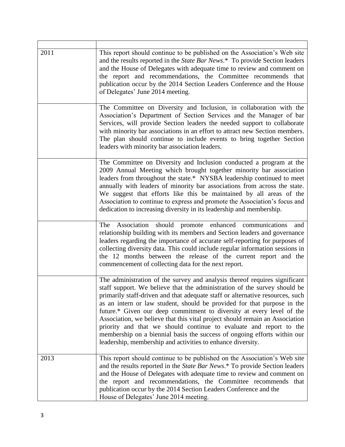| 2011 | This report should continue to be published on the Association's Web site<br>and the results reported in the State Bar News.* To provide Section leaders<br>and the House of Delegates with adequate time to review and comment on<br>the report and recommendations, the Committee recommends that<br>publication occur by the 2014 Section Leaders Conference and the House<br>of Delegates' June 2014 meeting.                                                                                                                                                                                                                                                                             |
|------|-----------------------------------------------------------------------------------------------------------------------------------------------------------------------------------------------------------------------------------------------------------------------------------------------------------------------------------------------------------------------------------------------------------------------------------------------------------------------------------------------------------------------------------------------------------------------------------------------------------------------------------------------------------------------------------------------|
|      | The Committee on Diversity and Inclusion, in collaboration with the<br>Association's Department of Section Services and the Manager of bar<br>Services, will provide Section leaders the needed support to collaborate<br>with minority bar associations in an effort to attract new Section members.<br>The plan should continue to include events to bring together Section<br>leaders with minority bar association leaders.                                                                                                                                                                                                                                                               |
|      | The Committee on Diversity and Inclusion conducted a program at the<br>2009 Annual Meeting which brought together minority bar association<br>leaders from throughout the state.* NYSBA leadership continued to meet<br>annually with leaders of minority bar associations from across the state.<br>We suggest that efforts like this be maintained by all areas of the<br>Association to continue to express and promote the Association's focus and<br>dedication to increasing diversity in its leadership and membership.                                                                                                                                                                |
|      | The Association should promote enhanced communications<br>and<br>relationship building with its members and Section leaders and governance<br>leaders regarding the importance of accurate self-reporting for purposes of<br>collecting diversity data. This could include regular information sessions in<br>the 12 months between the release of the current report and the<br>commencement of collecting data for the next report.                                                                                                                                                                                                                                                         |
|      | The administration of the survey and analysis thereof requires significant<br>staff support. We believe that the administration of the survey should be<br>primarily staff-driven and that adequate staff or alternative resources, such<br>as an intern or law student, should be provided for that purpose in the<br>future.* Given our deep commitment to diversity at every level of the<br>Association, we believe that this vital project should remain an Association<br>priority and that we should continue to evaluate and report to the<br>membership on a biennial basis the success of ongoing efforts within our<br>leadership, membership and activities to enhance diversity. |
| 2013 | This report should continue to be published on the Association's Web site<br>and the results reported in the State Bar News.* To provide Section leaders<br>and the House of Delegates with adequate time to review and comment on<br>the report and recommendations, the Committee recommends that<br>publication occur by the 2014 Section Leaders Conference and the<br>House of Delegates' June 2014 meeting.                                                                                                                                                                                                                                                                             |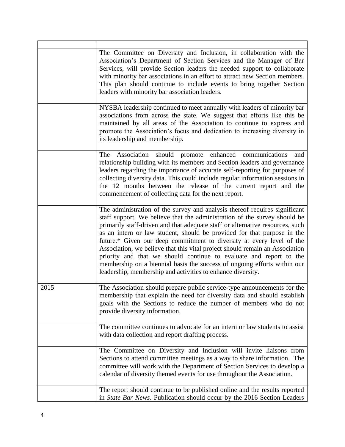|      | The Committee on Diversity and Inclusion, in collaboration with the<br>Association's Department of Section Services and the Manager of Bar<br>Services, will provide Section leaders the needed support to collaborate<br>with minority bar associations in an effort to attract new Section members.<br>This plan should continue to include events to bring together Section<br>leaders with minority bar association leaders.                                                                                                                                                                                                                                                              |
|------|-----------------------------------------------------------------------------------------------------------------------------------------------------------------------------------------------------------------------------------------------------------------------------------------------------------------------------------------------------------------------------------------------------------------------------------------------------------------------------------------------------------------------------------------------------------------------------------------------------------------------------------------------------------------------------------------------|
|      | NYSBA leadership continued to meet annually with leaders of minority bar<br>associations from across the state. We suggest that efforts like this be<br>maintained by all areas of the Association to continue to express and<br>promote the Association's focus and dedication to increasing diversity in<br>its leadership and membership.                                                                                                                                                                                                                                                                                                                                                  |
|      | Association should promote enhanced communications<br>The<br>and<br>relationship building with its members and Section leaders and governance<br>leaders regarding the importance of accurate self-reporting for purposes of<br>collecting diversity data. This could include regular information sessions in<br>the 12 months between the release of the current report and the<br>commencement of collecting data for the next report.                                                                                                                                                                                                                                                      |
|      | The administration of the survey and analysis thereof requires significant<br>staff support. We believe that the administration of the survey should be<br>primarily staff-driven and that adequate staff or alternative resources, such<br>as an intern or law student, should be provided for that purpose in the<br>future.* Given our deep commitment to diversity at every level of the<br>Association, we believe that this vital project should remain an Association<br>priority and that we should continue to evaluate and report to the<br>membership on a biennial basis the success of ongoing efforts within our<br>leadership, membership and activities to enhance diversity. |
| 2015 | The Association should prepare public service-type announcements for the<br>membership that explain the need for diversity data and should establish<br>goals with the Sections to reduce the number of members who do not<br>provide diversity information.                                                                                                                                                                                                                                                                                                                                                                                                                                  |
|      | The committee continues to advocate for an intern or law students to assist<br>with data collection and report drafting process.                                                                                                                                                                                                                                                                                                                                                                                                                                                                                                                                                              |
|      | The Committee on Diversity and Inclusion will invite liaisons from<br>Sections to attend committee meetings as a way to share information. The<br>committee will work with the Department of Section Services to develop a<br>calendar of diversity themed events for use throughout the Association.                                                                                                                                                                                                                                                                                                                                                                                         |
|      | The report should continue to be published online and the results reported<br>in State Bar News. Publication should occur by the 2016 Section Leaders                                                                                                                                                                                                                                                                                                                                                                                                                                                                                                                                         |